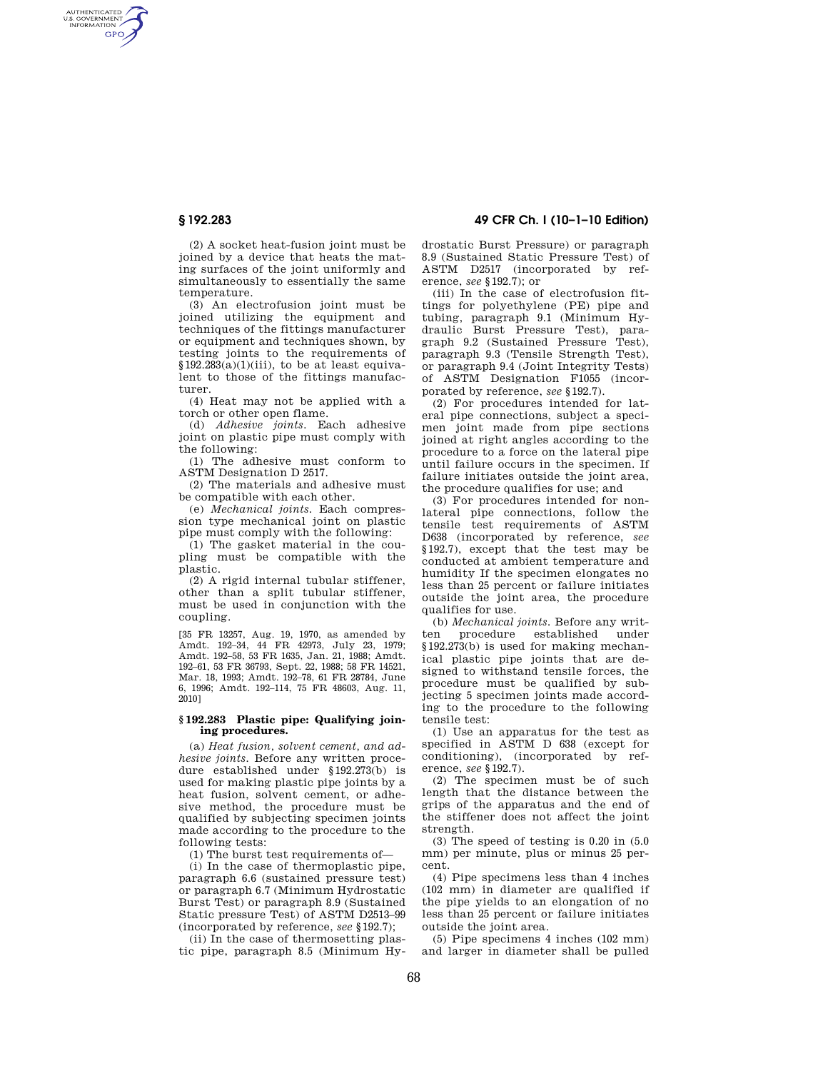AUTHENTICATED<br>U.S. GOVERNMENT<br>INFORMATION **GPO** 

> (2) A socket heat-fusion joint must be joined by a device that heats the mating surfaces of the joint uniformly and simultaneously to essentially the same temperature.

> (3) An electrofusion joint must be joined utilizing the equipment and techniques of the fittings manufacturer or equipment and techniques shown, by testing joints to the requirements of  $$192.283(a)(1)(iii)$ , to be at least equivalent to those of the fittings manufacturer.

> (4) Heat may not be applied with a torch or other open flame.

(d) *Adhesive joints.* Each adhesive joint on plastic pipe must comply with the following:

(1) The adhesive must conform to ASTM Designation D 2517.

(2) The materials and adhesive must be compatible with each other.

(e) *Mechanical joints.* Each compression type mechanical joint on plastic pipe must comply with the following:

(1) The gasket material in the coupling must be compatible with the plastic.

(2) A rigid internal tubular stiffener, other than a split tubular stiffener, must be used in conjunction with the coupling.

[35 FR 13257, Aug. 19, 1970, as amended by Amdt. 192–34, 44 FR 42973, July 23, 1979; Amdt. 192–58, 53 FR 1635, Jan. 21, 1988; Amdt. 192–61, 53 FR 36793, Sept. 22, 1988; 58 FR 14521, Mar. 18, 1993; Amdt. 192–78, 61 FR 28784, June 6, 1996; Amdt. 192–114, 75 FR 48603, Aug. 11, 2010]

# **§ 192.283 Plastic pipe: Qualifying joining procedures.**

(a) *Heat fusion, solvent cement, and adhesive joints.* Before any written procedure established under §192.273(b) is used for making plastic pipe joints by a heat fusion, solvent cement, or adhesive method, the procedure must be qualified by subjecting specimen joints made according to the procedure to the following tests:

(1) The burst test requirements of—

(i) In the case of thermoplastic pipe, paragraph 6.6 (sustained pressure test) or paragraph 6.7 (Minimum Hydrostatic Burst Test) or paragraph 8.9 (Sustained Static pressure Test) of ASTM D2513–99 (incorporated by reference, *see* §192.7);

(ii) In the case of thermosetting plastic pipe, paragraph 8.5 (Minimum Hy-

**§ 192.283 49 CFR Ch. I (10–1–10 Edition)** 

drostatic Burst Pressure) or paragraph 8.9 (Sustained Static Pressure Test) of ASTM D2517 (incorporated by reference, *see* §192.7); or

(iii) In the case of electrofusion fittings for polyethylene (PE) pipe and tubing, paragraph 9.1 (Minimum Hydraulic Burst Pressure Test), paragraph 9.2 (Sustained Pressure Test), paragraph 9.3 (Tensile Strength Test), or paragraph 9.4 (Joint Integrity Tests) of ASTM Designation F1055 (incorporated by reference, *see* §192.7).

(2) For procedures intended for lateral pipe connections, subject a specimen joint made from pipe sections joined at right angles according to the procedure to a force on the lateral pipe until failure occurs in the specimen. If failure initiates outside the joint area, the procedure qualifies for use; and

(3) For procedures intended for nonlateral pipe connections, follow the tensile test requirements of ASTM D638 (incorporated by reference, *see*  §192.7), except that the test may be conducted at ambient temperature and humidity If the specimen elongates no less than 25 percent or failure initiates outside the joint area, the procedure qualifies for use.

(b) *Mechanical joints.* Before any written procedure established under §192.273(b) is used for making mechanical plastic pipe joints that are designed to withstand tensile forces, the procedure must be qualified by subjecting 5 specimen joints made according to the procedure to the following tensile test:

(1) Use an apparatus for the test as specified in ASTM D 638 (except for conditioning), (incorporated by reference, *see* §192.7).

(2) The specimen must be of such length that the distance between the grips of the apparatus and the end of the stiffener does not affect the joint strength.

(3) The speed of testing is 0.20 in (5.0 mm) per minute, plus or minus 25 percent.

(4) Pipe specimens less than 4 inches (102 mm) in diameter are qualified if the pipe yields to an elongation of no less than 25 percent or failure initiates outside the joint area.

(5) Pipe specimens 4 inches (102 mm) and larger in diameter shall be pulled